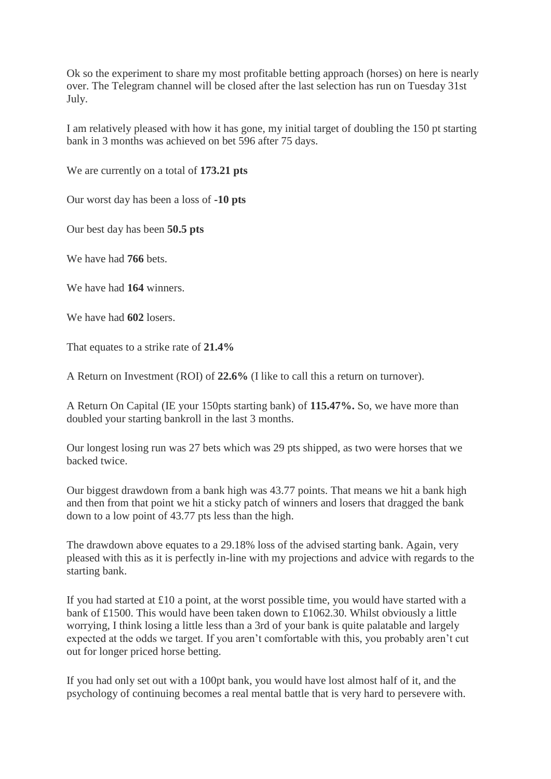Ok so the experiment to share my most profitable betting approach (horses) on here is nearly over. The Telegram channel will be closed after the last selection has run on Tuesday 31st July.

I am relatively pleased with how it has gone, my initial target of doubling the 150 pt starting bank in 3 months was achieved on bet 596 after 75 days.

We are currently on a total of **173.21 pts**

Our worst day has been a loss of **-10 pts**

Our best day has been **50.5 pts**

We have had **766** bets.

We have had **164** winners.

We have had **602** losers.

That equates to a strike rate of **21.4%**

A Return on Investment (ROI) of **22.6%** (I like to call this a return on turnover).

A Return On Capital (IE your 150pts starting bank) of **115.47%.** So, we have more than doubled your starting bankroll in the last 3 months.

Our longest losing run was 27 bets which was 29 pts shipped, as two were horses that we backed twice.

Our biggest drawdown from a bank high was 43.77 points. That means we hit a bank high and then from that point we hit a sticky patch of winners and losers that dragged the bank down to a low point of 43.77 pts less than the high.

The drawdown above equates to a 29.18% loss of the advised starting bank. Again, very pleased with this as it is perfectly in-line with my projections and advice with regards to the starting bank.

If you had started at £10 a point, at the worst possible time, you would have started with a bank of £1500. This would have been taken down to £1062.30. Whilst obviously a little worrying, I think losing a little less than a 3rd of your bank is quite palatable and largely expected at the odds we target. If you aren't comfortable with this, you probably aren't cut out for longer priced horse betting.

If you had only set out with a 100pt bank, you would have lost almost half of it, and the psychology of continuing becomes a real mental battle that is very hard to persevere with.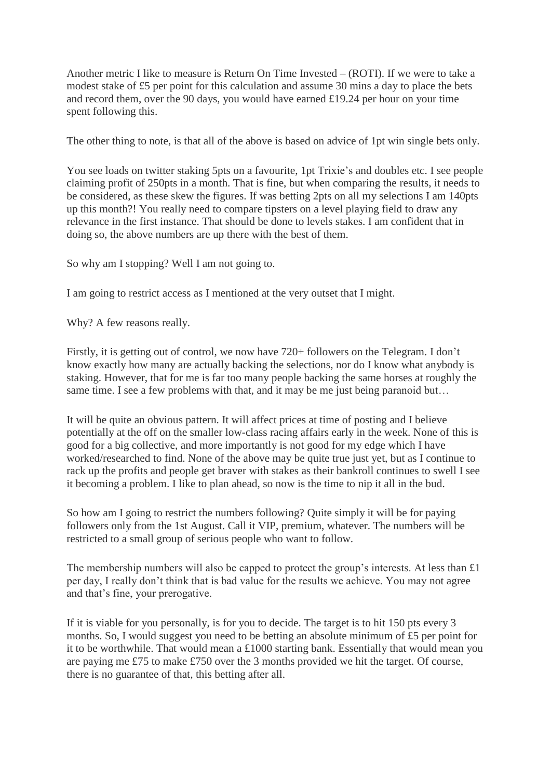Another metric I like to measure is Return On Time Invested – (ROTI). If we were to take a modest stake of £5 per point for this calculation and assume 30 mins a day to place the bets and record them, over the 90 days, you would have earned £19.24 per hour on your time spent following this.

The other thing to note, is that all of the above is based on advice of 1pt win single bets only.

You see loads on twitter staking 5pts on a favourite, 1pt Trixie's and doubles etc. I see people claiming profit of 250pts in a month. That is fine, but when comparing the results, it needs to be considered, as these skew the figures. If was betting 2pts on all my selections I am 140pts up this month?! You really need to compare tipsters on a level playing field to draw any relevance in the first instance. That should be done to levels stakes. I am confident that in doing so, the above numbers are up there with the best of them.

So why am I stopping? Well I am not going to.

I am going to restrict access as I mentioned at the very outset that I might.

Why? A few reasons really.

Firstly, it is getting out of control, we now have 720+ followers on the Telegram. I don't know exactly how many are actually backing the selections, nor do I know what anybody is staking. However, that for me is far too many people backing the same horses at roughly the same time. I see a few problems with that, and it may be me just being paranoid but...

It will be quite an obvious pattern. It will affect prices at time of posting and I believe potentially at the off on the smaller low-class racing affairs early in the week. None of this is good for a big collective, and more importantly is not good for my edge which I have worked/researched to find. None of the above may be quite true just yet, but as I continue to rack up the profits and people get braver with stakes as their bankroll continues to swell I see it becoming a problem. I like to plan ahead, so now is the time to nip it all in the bud.

So how am I going to restrict the numbers following? Quite simply it will be for paying followers only from the 1st August. Call it VIP, premium, whatever. The numbers will be restricted to a small group of serious people who want to follow.

The membership numbers will also be capped to protect the group's interests. At less than £1 per day, I really don't think that is bad value for the results we achieve. You may not agree and that's fine, your prerogative.

If it is viable for you personally, is for you to decide. The target is to hit 150 pts every 3 months. So, I would suggest you need to be betting an absolute minimum of £5 per point for it to be worthwhile. That would mean a £1000 starting bank. Essentially that would mean you are paying me £75 to make £750 over the 3 months provided we hit the target. Of course, there is no guarantee of that, this betting after all.